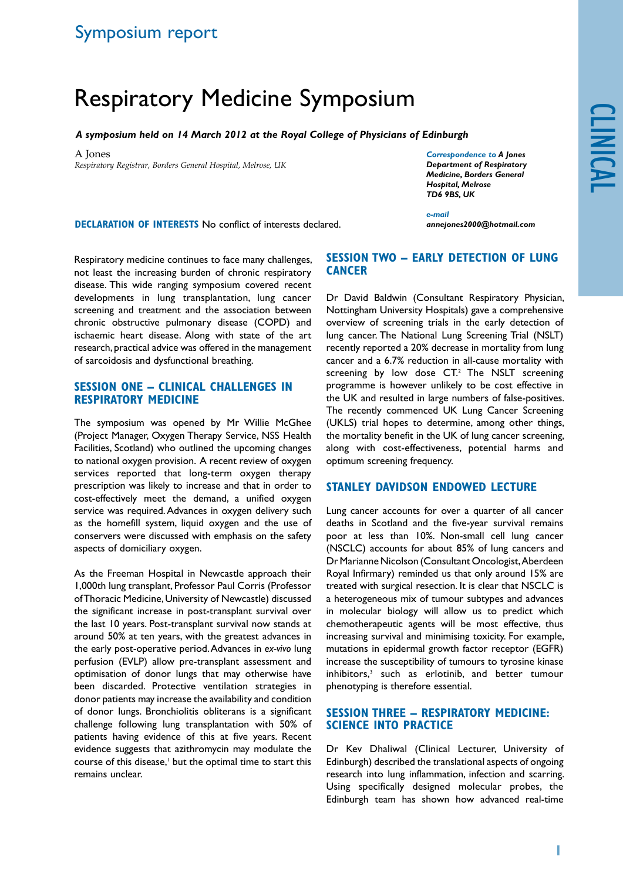# Respiratory Medicine Symposium

*A symposium held on 14 March 2012 at the Royal College of Physicians of Edinburgh*

A Jones *Respiratory Registrar, Borders General Hospital, Melrose, UK* *Correspondence to A Jones Department of Respiratory Medicine, Borders General Hospital, Melrose TD6 9BS, UK*

**DECLARATION OF INTERESTS No conflict of interests declared.** 

*annejones2000@hotmail.com*

Respiratory medicine continues to face many challenges, not least the increasing burden of chronic respiratory disease. This wide ranging symposium covered recent developments in lung transplantation, lung cancer screening and treatment and the association between chronic obstructive pulmonary disease (COPD) and ischaemic heart disease. Along with state of the art research, practical advice was offered in the management of sarcoidosis and dysfunctional breathing.

#### **SESSION ONE – CLINICAL CHALLENGES IN RESPIRATORY MEDICINE**

The symposium was opened by Mr Willie McGhee (Project Manager, Oxygen Therapy Service, NSS Health Facilities, Scotland) who outlined the upcoming changes to national oxygen provision. A recent review of oxygen services reported that long-term oxygen therapy prescription was likely to increase and that in order to cost-effectively meet the demand, a unified oxygen service was required. Advances in oxygen delivery such as the homefill system, liquid oxygen and the use of conservers were discussed with emphasis on the safety aspects of domiciliary oxygen.

As the Freeman Hospital in Newcastle approach their 1,000th lung transplant, Professor Paul Corris (Professor of Thoracic Medicine, University of Newcastle) discussed the significant increase in post-transplant survival over the last 10 years. Post-transplant survival now stands at around 50% at ten years, with the greatest advances in the early post-operative period. Advances in *ex-vivo* lung perfusion (EVLP) allow pre-transplant assessment and optimisation of donor lungs that may otherwise have been discarded. Protective ventilation strategies in donor patients may increase the availability and condition of donor lungs. Bronchiolitis obliterans is a significant challenge following lung transplantation with 50% of patients having evidence of this at five years. Recent evidence suggests that azithromycin may modulate the course of this disease,<sup>1</sup> but the optimal time to start this remains unclear.

## **SESSION TWO – EARLY DETECTION OF LUNG CANCER**

*e-mail* 

Dr David Baldwin (Consultant Respiratory Physician, Nottingham University Hospitals) gave a comprehensive overview of screening trials in the early detection of lung cancer. The National Lung Screening Trial (NSLT) recently reported a 20% decrease in mortality from lung cancer and a 6.7% reduction in all-cause mortality with screening by low dose CT.<sup>2</sup> The NSLT screening programme is however unlikely to be cost effective in the UK and resulted in large numbers of false-positives. The recently commenced UK Lung Cancer Screening (UKLS) trial hopes to determine, among other things, the mortality benefit in the UK of lung cancer screening, along with cost-effectiveness, potential harms and optimum screening frequency.

## **STANLEY DAVIDSON ENDOWED LECTURE**

Lung cancer accounts for over a quarter of all cancer deaths in Scotland and the five-year survival remains poor at less than 10%. Non-small cell lung cancer (NSCLC) accounts for about 85% of lung cancers and Dr Marianne Nicolson (Consultant Oncologist, Aberdeen Royal Infirmary) reminded us that only around 15% are treated with surgical resection. It is clear that NSCLC is a heterogeneous mix of tumour subtypes and advances in molecular biology will allow us to predict which chemotherapeutic agents will be most effective, thus increasing survival and minimising toxicity. For example, mutations in epidermal growth factor receptor (EGFR) increase the susceptibility of tumours to tyrosine kinase inhibitors,3 such as erlotinib, and better tumour phenotyping is therefore essential.

## **SESSION THREE – RESPIRATORY MEDICINE: SCIENCE INTO PRACTICE**

Dr Kev Dhaliwal (Clinical Lecturer, University of Edinburgh) described the translational aspects of ongoing research into lung inflammation, infection and scarring. Using specifically designed molecular probes, the Edinburgh team has shown how advanced real-time